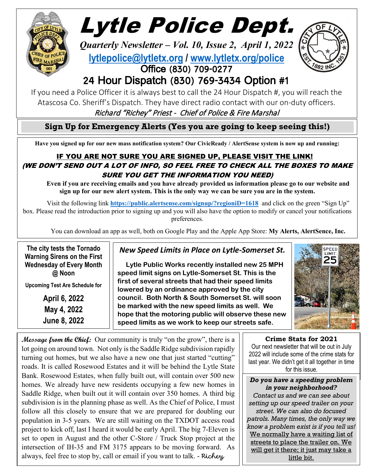

ׇׇ֦֡֝֬<u>֖</u>

# Lytle Police Dept.

*Quarterly Newsletter – Vol. 10, Issue 2, April 1, 2022* **[lytlepolice@lytletx.org](mailto:lytlepolice@lytletx.org) / [www.lytletx.org/police](http://www.lytletx.org/police)** Office (830) 709-0277



## 24 Hour Dispatch (830) 769-3434 Option #1

If you need a Police Officer it is always best to call the 24 Hour Dispatch #, you will reach the Atascosa Co. Sheriff's Dispatch. They have direct radio contact with our on-duty officers.

Richard "Richey" Priest - Chief of Police & Fire Marshal

**Sign Up for Emergency Alerts (Yes you are going to keep seeing this!)**

**Have you signed up for our new mass notification system? Our CivicReady / AlertSense system is now up and running:**

## IF YOU ARE NOT SURE YOU ARE SIGNED UP, PLEASE VISIT THE LINK! (WE DON'T SEND OUT A LOT OF INFO, SO FEEL FREE TO CHECK ALL THE BOXES TO MAKE SURE YOU GET THE INFORMATION YOU NEED)

**Even if you are receiving emails and you have already provided us information please go to our website and sign up for our new alert system. This is the only way we can be sure you are in the system.**

Visit the following link **<https://public.alertsense.com/signup/?regioniD=1618>** and click on the green "Sign Up" box. Please read the introduction prior to signing up and you will also have the option to modify or cancel your notifications preferences.

You can download an app as well, both on Google Play and the Apple App Store: **My Alerts, AlertSence, Inc.**

 **The city tests the Tornado Warning Sirens on the First Wednesday of Every Month @ Noon**

**Upcoming Test Are Schedule for**

**April 6, 2022 May 4, 2022 June 8, 2022**

## *New Speed Limits in Place on Lytle-Somerset St.*

 **Lytle Public Works recently installed new 25 MPH speed limit signs on Lytle-Somerset St. This is the first of several streets that had their speed limits lowered by an ordinance approved by the city council. Both North & South Somerset St. will soon be marked with the new speed limits as well. We hope that the motoring public will observe these new speed limits as we work to keep our streets safe.** 



**Message from the Chief:** Our community is truly "on the grow", there is a lot going on around town. Not only is the Saddle Ridge subdivision rapidly turning out homes, but we also have a new one that just started "cutting" roads. It is called Rosewood Estates and it will be behind the Lytle State Bank. Rosewood Estates, when fully built out, will contain over 500 new homes. We already have new residents occupying a few new homes in Saddle Ridge, when built out it will contain over 350 homes. A third big subdivision is in the planning phase as well. As the Chief of Police, I must follow all this closely to ensure that we are prepared for doubling our population in 3-5 years. We are still waiting on the TXDOT access road project to kick off, last I heard it would be early April. The big 7-Eleven is set to open in August and the other C-Store / Truck Stop project at the intersection of IH-35 and FM 3175 appears to be moving forward. As always, feel free to stop by, call or email if you want to talk. - Richey

**Crime Stats for 2021**

Our next newsletter that will be out in July 2022 will include some of the crime stats for last year. We didn't get it all together in time for this issue.

*Do you have a speeding problem in your neighborhood? Contact us and we can see about setting up our speed trailer on your street. We can also do focused patrols. Many times, the only way we know a problem exist is if you tell us!*  We normally have a waiting list of streets to place the trailer on. We will get it there; it just may take a little bit.